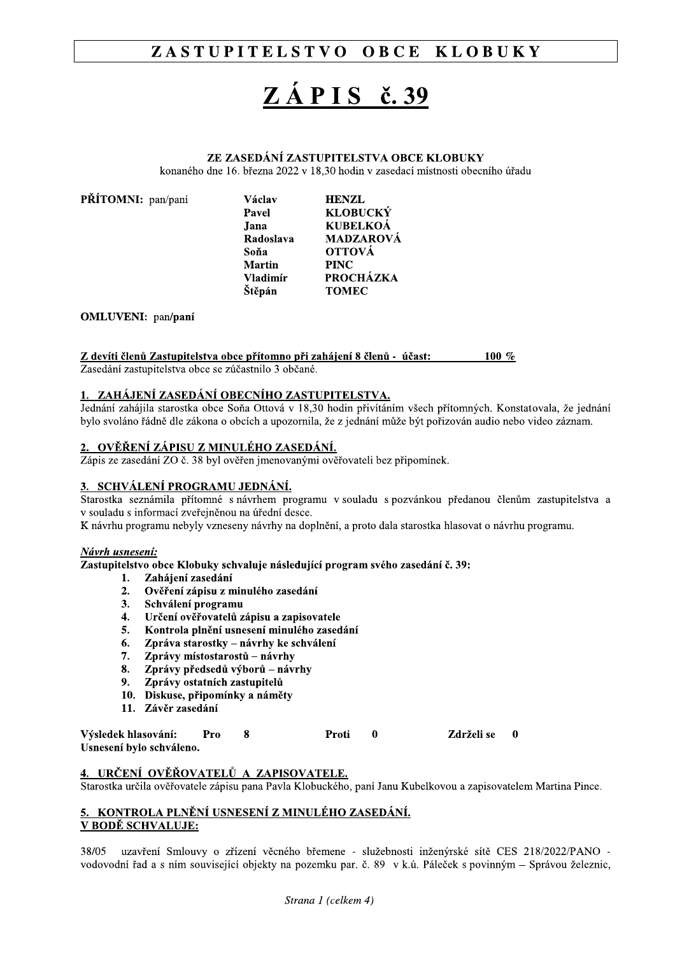#### ZASTUPITELSTVO OBCE **KLOBUKY**

# $Z\angle APIS$  č. 39

### ZE ZASEDÁNÍ ZASTUPITELSTVA OBCE KLOBUKY

konaného dne 16. března 2022 v 18.30 hodin v zasedací místnosti obecního úřadu

| Václav          | <b>HENZL</b>     |
|-----------------|------------------|
| Pavel           | <b>KLOBUCKÝ</b>  |
| Jana            | <b>KUBELKOÁ</b>  |
| Radoslava       | <b>MADZAROVÁ</b> |
| Soňa            | <b>OTTOVÁ</b>    |
| <b>Martin</b>   | <b>PINC</b>      |
| <b>Vladimír</b> | <b>PROCHÁZKA</b> |
| Štěpán          | <b>TOMEC</b>     |
|                 |                  |

#### **OMLUVENI:** pan/paní

PŘÍTOMNI: pan/paní

#### Z devíti členů Zastupitelstva obce přítomno při zahájení 8 členů - účast: 100  $%$

Zasedání zastupitelstva obce se zúčastnilo 3 občané.

### 1. ZAHÁJENÍ ZASEDÁNÍ OBECNÍHO ZASTUPITELSTVA.

Jednání zahájila starostka obce Soňa Ottová v 18.30 hodin přivítáním všech přítomných. Konstatovala, že jednání bylo svoláno řádně dle zákona o obcích a upozornila, že z jednání může být pořizován audio nebo video záznam.

#### <u>2. OVĚŘENÍ ZÁPISU Z MINULÉHO ZASEDÁNÍ.</u>

Zápis ze zasedání ZO č. 38 byl ověřen jmenovanými ověřovateli bez připomínek.

#### 3. SCHVÁLENÍ PROGRAMU JEDNÁNÍ.

Starostka seznámila přítomné s návrhem programu v souladu s pozvánkou předanou členům zastupitelstva a v souladu s informací zveřejněnou na úřední desce.

K návrhu programu nebyly vzneseny návrhy na doplnění, a proto dala starostka hlasovat o návrhu programu.

#### Návrh<u>usnesení:</u>

Zastupitelstvo obce Klobuky schvaluje následující program svého zasedání č. 39:

- 1. Zahájení zasedání
- Ověření zápisu z minulého zasedání  $2.$
- $3.$ Schválení programu
- Určení ověřovatelů zápisu a zapisovatele  $4.$
- Kontrola plnění usnesení minulého zasedání 5.
- 6. Zpráva starostky – návrhy ke schválení
- 7. Zprávy místostarostů – návrhy
- Zprávy předsedů výborů návrhy 8.
- Zprávy ostatních zastupitelů  $9.$
- 10. Diskuse, připomínky a náměty
- 11. Závěr zasedání

| Výsledek hlasování:      | Pro | Proti | Zdrželi se |  |
|--------------------------|-----|-------|------------|--|
| Usnesení bylo schváleno. |     |       |            |  |

### 4. URČENÍ OVĚŘOVATELŮ A ZAPISOVATELE.

Starostka určila ověřovatele zápisu pana Pavla Klobuckého, paní Janu Kubelkovou a zapisovatelem Martina Pince.

#### 5. KONTROLA PLNĚNÍ USNESENÍ Z MINULÉHO ZASEDÁNÍ. V BODĚ SCHVALUJE:

38/05 uzavření Smlouvy o zřízení věcného břemene - služebnosti inženýrské sítě CES 218/2022/PANO vodovodní řad a s ním související objekty na pozemku par. č. 89 v k.ú. Páleček s povinným – Správou železnic,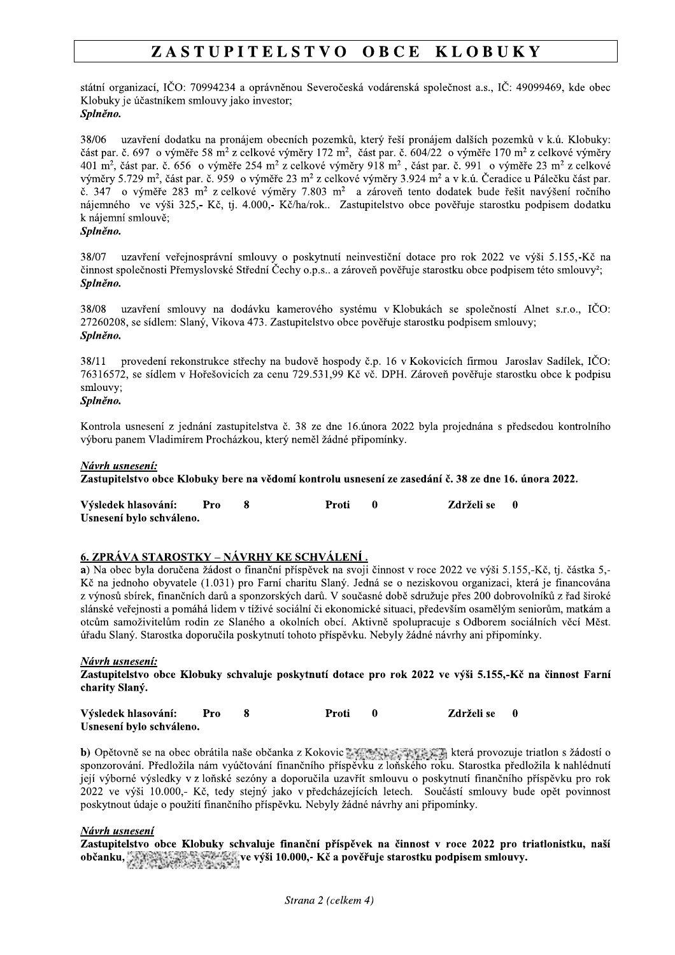#### ZASTUPITELSTVO OBCE **KLOBUKY**

státní organizací, IČO: 70994234 a oprávněnou Severočeská vodárenská společnost a.s., IČ: 49099469, kde obec Klobuky je účastníkem smlouvy jako investor; Splněno.

38/06 uzavření dodatku na pronájem obecních pozemků, který řeší pronájem dalších pozemků v k.ú. Klobuky: část par. č. 697 o výměře 58 m<sup>2</sup> z celkové výměry 172 m<sup>2</sup>, část par. č. 604/22 o výměře 170 m<sup>2</sup> z celkové výměry 401 m<sup>2</sup>, část par. č. 656 o výměře 254 m<sup>2</sup> z celkové výměry 918 m<sup>2</sup>, část par. č. 991 o výměře 23 m<sup>2</sup> z celkové výměry 5.729 m<sup>2</sup>, část par. č. 959 o výměře 23 m<sup>2</sup> z celkové výměry 3.924 m<sup>2</sup> a v k.ú. Čeradice u Pálečku část par. č. 347 o výměře 283 m<sup>2</sup> z celkové výměry 7.803 m<sup>2</sup> a zároveň tento dodatek bude řešit navýšení ročního nájemného ve výši 325,- Kč, tj. 4.000,- Kč/ha/rok.. Zastupitelstvo obce pověřuje starostku podpisem dodatku k nájemní smlouvě;

#### Splněno.

uzavření veřejnosprávní smlouvy o poskytnutí neinvestiční dotace pro rok 2022 ve výši 5.155,-Kč na 38/07 činnost společnosti Přemyslovské Střední Čechy o.p.s.. a zároveň pověřuje starostku obce podpisem této smlouvy<sup>2</sup>; Splněno.

uzavření smlouvy na dodávku kamerového systému v Klobukách se společností Alnet s.r.o.. IČO: 38/08 27260208, se sídlem: Slaný, Vikova 473. Zastupitelstvo obce pověřuje starostku podpisem smlouvy; Splněno.

38/11 provedení rekonstrukce střechy na budově hospody č.p. 16 v Kokovicích firmou Jaroslav Sadílek, IČO: 76316572, se sídlem v Hořešovicích za cenu 729.531,99 Kč vč. DPH. Zároveň pověřuje starostku obce k podpisu smlouvy;

#### Splněno.

Kontrola usnesení z jednání zastupitelstva č. 38 ze dne 16.února 2022 byla projednána s předsedou kontrolního výboru panem Vladimírem Procházkou, který neměl žádné připomínky.

#### Návrh usnesení:

Zastupitelstvo obce Klobuky bere na vědomí kontrolu usnesení ze zasedání č. 38 ze dne 16. února 2022.

| Výsledek hlasování:      | Pro | Proti | Zdrželi se | $\blacksquare$ |
|--------------------------|-----|-------|------------|----------------|
| Usnesení bylo schváleno. |     |       |            |                |

### 6. ZPRÁVA STAROSTKY – NÁVRHY KE SCHVÁLENÍ.

a) Na obec byla doručena žádost o finanční příspěvek na svoji činnost v roce 2022 ve výši 5.155.-Kč, tj. částka 5.-Kč na jednoho obvyatele (1.031) pro Farní charitu Slaný. Jedná se o neziskovou organizaci, která je financována z výnosů sbírek, finančních darů a sponzorských darů. V současné době sdružuje přes 200 dobrovolníků z řad široké slánské veřejnosti a pomáhá lidem v tíživé sociální či ekonomické situaci, především osamělým seniorům, matkám a otcům samoživitelům rodin ze Slaného a okolních obcí. Aktivně spolupracuje s Odborem sociálních věcí Měst. úřadu Slaný. Starostka doporučila poskytnutí tohoto příspěvku. Nebyly žádné návrhy ani připomínky.

#### Návrh usnesení:

Zastupitelstvo obce Klobuky schvaluje poskytnutí dotace pro rok 2022 ve výši 5.155,-Kč na činnost Farní charity Slaný.

| Výsledek hlasování:      | Pro | Proti | Zdrželi se 0 |  |
|--------------------------|-----|-------|--------------|--|
| Usnesení bylo schváleno. |     |       |              |  |

b) Opětovně se na obec obrátila naše občanka z Kokovic **proportovale za pros**istěji která provozuje triatlon s žádostí o sponzorování. Předložila nám vyúčtování finančního příspěvku z loňského roku. Starostka předložila k nahlédnutí její výborné výsledky v z loňské sezóny a doporučila uzavřít smlouvu o poskytnutí finančního příspěvku pro rok 2022 ve výši 10.000,- Kč, tedy stejný jako v předcházejících letech. Součástí smlouvy bude opět povinnost poskytnout údaje o použití finančního příspěvku. Nebyly žádné návrhy ani připomínky.

#### Návrh usnesení

Zastupitelstvo obce Klobuky schvaluje finanční příspěvek na činnost v roce 2022 pro triatlonistku, naší občanku, svete za stane za stane ve výši 10.000,- Kč a pověřuje starostku podpisem smlouvy.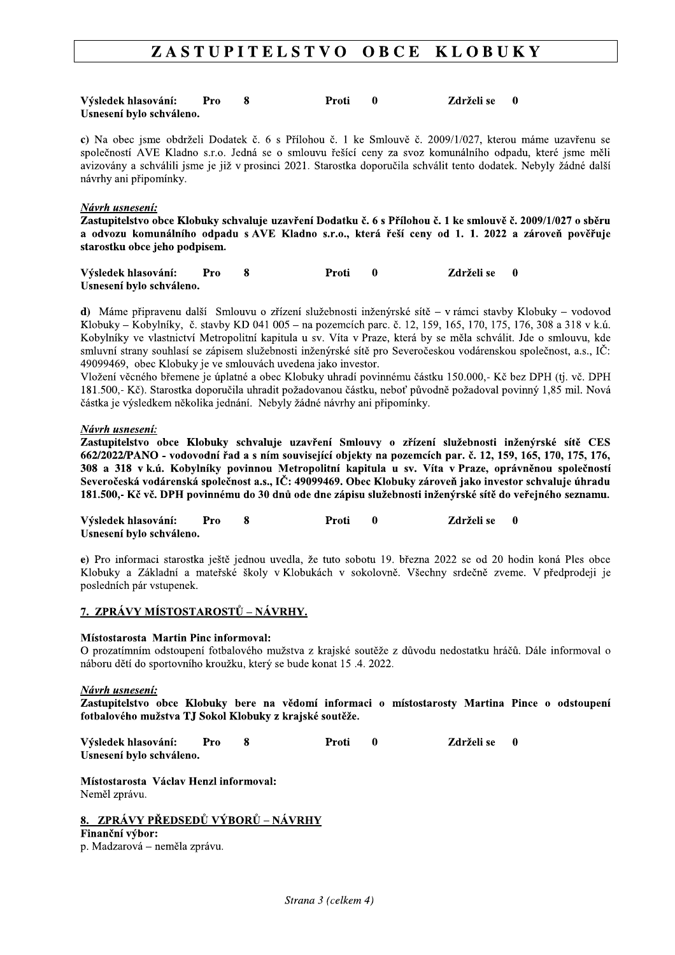#### ZASTUPITELSTVO OBCE **KLOBUKY**

| Výsledek hlasování: Pro  |  | Proti | <b>Zdrželi se 0</b> |  |
|--------------------------|--|-------|---------------------|--|
| Usnesení bylo schváleno. |  |       |                     |  |

c) Na obec jsme obdrželi Dodatek č. 6 s Přílohou č. 1 ke Smlouvě č. 2009/1/027, kterou máme uzavřenu se společností AVE Kladno s.r.o. Jedná se o smlouvu řešící ceny za svoz komunálního odpadu, které jsme měli avizovány a schválili jsme je již v prosinci 2021. Starostka doporučila schválit tento dodatek. Nebyly žádné další návrhy ani připomínky.

#### Návrh usnesení:

Zastupitelstvo obce Klobuky schvaluje uzavření Dodatku č. 6 s Přílohou č. 1 ke smlouvě č. 2009/1/027 o sběru a odvozu komunálního odpadu s AVE Kladno s.r.o., která řeší ceny od 1. 1. 2022 a zároveň pověřuje starostku obce jeho podpisem.

| Výsledek hlasování:      | - Pro | Proti | Zdrželi se 0 |  |
|--------------------------|-------|-------|--------------|--|
| Usnesení bylo schváleno. |       |       |              |  |

d) Máme připravenu další Smlouvu o zřízení služebnosti inženýrské sítě – v rámci stavby Klobuky – vodovod Klobuky – Kobylníky, č. stavby KD 041 005 – na pozemcích parc. č. 12, 159, 165, 170, 175, 176, 308 a 318 v k.ú. Kobylníky ve vlastnictví Metropolitní kapitula u sv. Víta v Praze, která by se měla schválit. Jde o smlouvu, kde smluvní strany souhlasí se zápisem služebnosti inženýrské sítě pro Severočeskou vodárenskou společnost, a.s., IČ: 49099469, obec Klobuky je ve smlouvách uvedena jako investor.

Vložení věcného břemene je úplatné a obec Klobuky uhradí povinnému částku 150.000,- Kč bez DPH (tj. vč. DPH 181.500,- Kč). Starostka doporučila uhradit požadovanou částku, neboť původně požadoval povinný 1,85 mil. Nová částka je výsledkem několika jednání. Nebyly žádné návrhy ani připomínky.

#### Návrh usnesení:

Zastupitelstvo obce Klobuky schvaluje uzavření Smlouvy o zřízení služebnosti inženýrské sítě CES 662/2022/PANO - vodovodní řad a s ním související objekty na pozemcích par. č. 12. 159. 165. 170. 175. 176. 308 a 318 v k.ú. Kobylníky povinnou Metropolitní kapitula u sv. Víta v Praze, oprávněnou společností Severočeská vodárenská společnost a.s., IČ: 49099469. Obec Klobuky zároveň jako investor schvaluje úhradu 181.500,- Kč vč. DPH povinnému do 30 dnů ode dne zápisu služebnosti inženýrské sítě do veřejného seznamu.

Výsledek hlasování: 8  $\mathbf{0}$  $\mathbf{0}$ Pro Proti Zdrželi se Usnesení bylo schváleno.

e) Pro informaci starostka ještě jednou uvedla, že tuto sobotu 19. března 2022 se od 20 hodin koná Ples obce Klobuky a Základní a mateřské školy v Klobukách v sokolovně. Všechny srdečně zveme. V předprodeji je posledních pár vstupenek.

#### 7. ZPRÁVY MÍSTOSTAROSTŮ – NÁVRHY.

#### Místostarosta Martin Pinc informoval:

O prozatímním odstoupení fotbalového mužstva z krajské soutěže z důvodu nedostatku hráčů. Dále informoval o náboru dětí do sportovního kroužku, který se bude konat 15.4. 2022.

#### Návrh usnesení:

Zastupitelstvo obce Klobuky bere na vědomí informaci o místostarosty Martina Pince o odstoupení fotbalového mužstva TJ Sokol Klobuky z krajské soutěže.

| Výsledek hlasování:      | Pro | Proti | <b>Zdrželi se 0</b> |  |
|--------------------------|-----|-------|---------------------|--|
| Usnesení bylo schváleno. |     |       |                     |  |

Místostarosta Václav Henzl informoval: Neměl zprávu.

### 8. ZPRÁVY PŘEDSEDŮ VÝBORŮ – NÁVRHY

Finanční výbor: p. Madzarová – neměla zprávu.